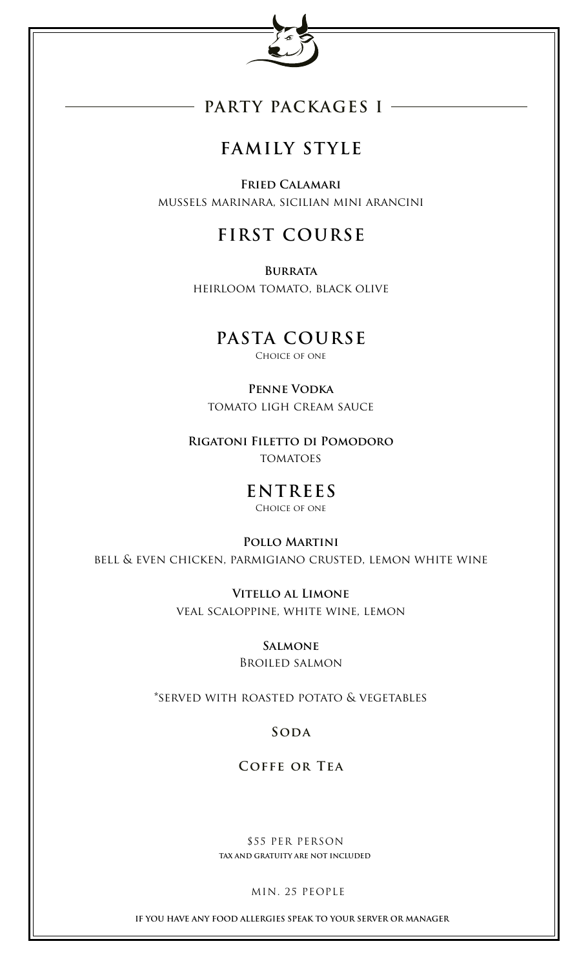

## **PARTY PACKAGES I**

# **FAMILY STYLE**

**Fried Calamari** mussels marinara, sicilian mini arancini

## **FIRST COURSE**

**Burrata** heirloom tomato, black olive

## **PASTA COURSE**

CHOICE OF ONE

**Penne Vodka** tomato ligh cream sauce

**Rigatoni Filetto di Pomodoro TOMATOES** 

> **ENTREES** Choice of one

**Pollo Martini** bell & even chicken, parmigiano crusted, lemon white wine

> **Vitello al Limone** veal scaloppine, white wine, lemon

> > **Salmone** Broiled salmon

\*served with roasted potato & vegetables

**Soda**

**Coffe or Tea**

 \$55 PER PERSON **TAX AND GRATUITY ARE NOT INCLUDED**

MIN. 25 PEOPLE

**IF YOU HAVE ANY FOOD ALLERGIES SPEAK TO YOUR SERVER OR MANAGER**